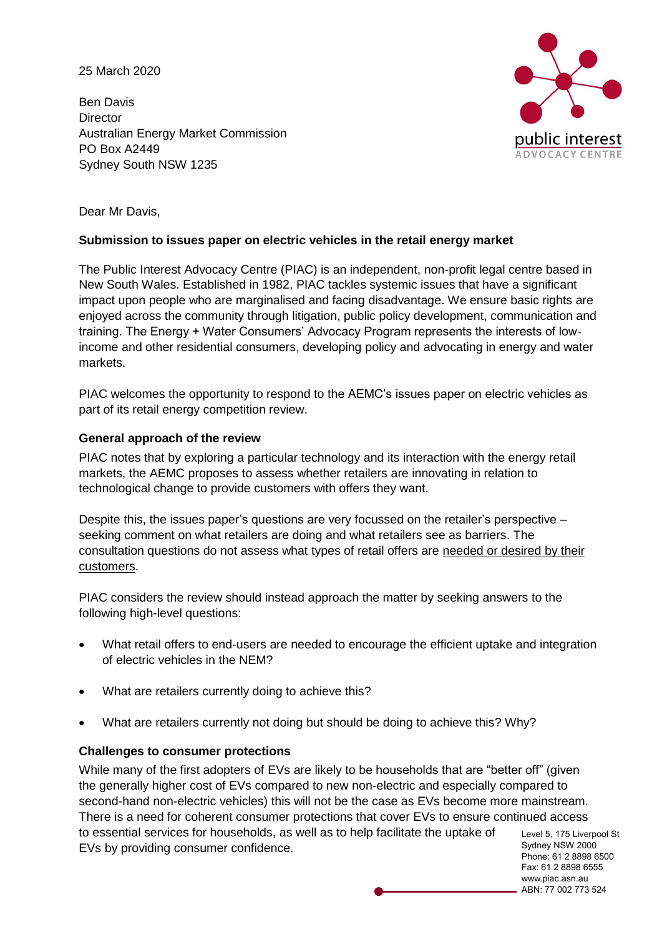25 March 2020

Ben Davis **Director** Australian Energy Market Commission PO Box A2449 Sydney South NSW 1235



Dear Mr Davis,

## **Submission to issues paper on electric vehicles in the retail energy market**

The Public Interest Advocacy Centre (PIAC) is an independent, non-profit legal centre based in New South Wales. Established in 1982, PIAC tackles systemic issues that have a significant impact upon people who are marginalised and facing disadvantage. We ensure basic rights are enjoyed across the community through litigation, public policy development, communication and training. The Energy + Water Consumers' Advocacy Program represents the interests of lowincome and other residential consumers, developing policy and advocating in energy and water markets.

PIAC welcomes the opportunity to respond to the AEMC's issues paper on electric vehicles as part of its retail energy competition review.

## **General approach of the review**

PIAC notes that by exploring a particular technology and its interaction with the energy retail markets, the AEMC proposes to assess whether retailers are innovating in relation to technological change to provide customers with offers they want.

Despite this, the issues paper's questions are very focussed on the retailer's perspective – seeking comment on what retailers are doing and what retailers see as barriers. The consultation questions do not assess what types of retail offers are needed or desired by their customers.

PIAC considers the review should instead approach the matter by seeking answers to the following high-level questions:

- What retail offers to end-users are needed to encourage the efficient uptake and integration of electric vehicles in the NEM?
- What are retailers currently doing to achieve this?
- What are retailers currently not doing but should be doing to achieve this? Why?

#### **Challenges to consumer protections**

Level 5, 175 Liverpool St Sydney NSW 2000 While many of the first adopters of EVs are likely to be households that are "better off" (given the generally higher cost of EVs compared to new non-electric and especially compared to second-hand non-electric vehicles) this will not be the case as EVs become more mainstream. There is a need for coherent consumer protections that cover EVs to ensure continued access to essential services for households, as well as to help facilitate the uptake of EVs by providing consumer confidence.

Phone: 61 2 8898 6500 Fax: 61 2 8898 6555 www.piac.asn.au ABN: 77 002 773 524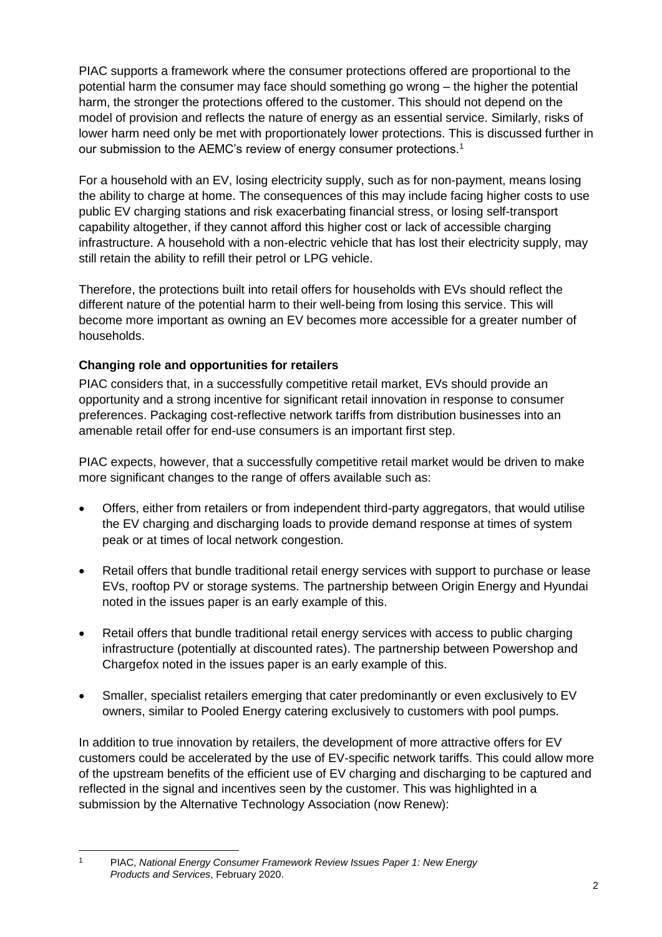PIAC supports a framework where the consumer protections offered are proportional to the potential harm the consumer may face should something go wrong – the higher the potential harm, the stronger the protections offered to the customer. This should not depend on the model of provision and reflects the nature of energy as an essential service. Similarly, risks of lower harm need only be met with proportionately lower protections. This is discussed further in our submission to the AEMC's review of energy consumer protections.<sup>1</sup>

For a household with an EV, losing electricity supply, such as for non-payment, means losing the ability to charge at home. The consequences of this may include facing higher costs to use public EV charging stations and risk exacerbating financial stress, or losing self-transport capability altogether, if they cannot afford this higher cost or lack of accessible charging infrastructure. A household with a non-electric vehicle that has lost their electricity supply, may still retain the ability to refill their petrol or LPG vehicle.

Therefore, the protections built into retail offers for households with EVs should reflect the different nature of the potential harm to their well-being from losing this service. This will become more important as owning an EV becomes more accessible for a greater number of households.

# **Changing role and opportunities for retailers**

PIAC considers that, in a successfully competitive retail market, EVs should provide an opportunity and a strong incentive for significant retail innovation in response to consumer preferences. Packaging cost-reflective network tariffs from distribution businesses into an amenable retail offer for end-use consumers is an important first step.

PIAC expects, however, that a successfully competitive retail market would be driven to make more significant changes to the range of offers available such as:

- Offers, either from retailers or from independent third-party aggregators, that would utilise the EV charging and discharging loads to provide demand response at times of system peak or at times of local network congestion.
- Retail offers that bundle traditional retail energy services with support to purchase or lease EVs, rooftop PV or storage systems. The partnership between Origin Energy and Hyundai noted in the issues paper is an early example of this.
- Retail offers that bundle traditional retail energy services with access to public charging infrastructure (potentially at discounted rates). The partnership between Powershop and Chargefox noted in the issues paper is an early example of this.
- Smaller, specialist retailers emerging that cater predominantly or even exclusively to EV owners, similar to Pooled Energy catering exclusively to customers with pool pumps.

In addition to true innovation by retailers, the development of more attractive offers for EV customers could be accelerated by the use of EV-specific network tariffs. This could allow more of the upstream benefits of the efficient use of EV charging and discharging to be captured and reflected in the signal and incentives seen by the customer. This was highlighted in a submission by the Alternative Technology Association (now Renew):

-

<sup>1</sup> PIAC, *National Energy Consumer Framework Review Issues Paper 1: New Energy Products and Services*, February 2020.